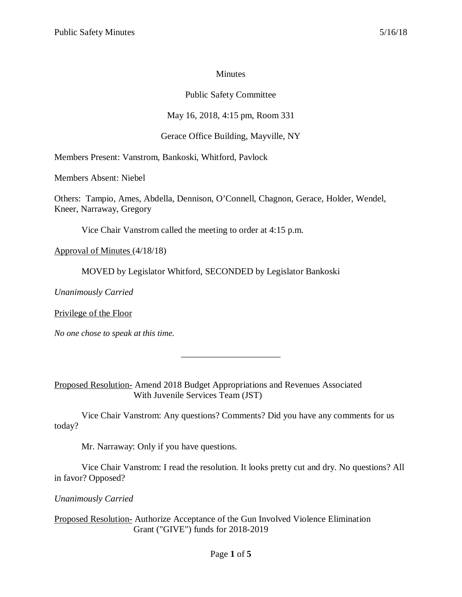#### **Minutes**

## Public Safety Committee

# May 16, 2018, 4:15 pm, Room 331

# Gerace Office Building, Mayville, NY

Members Present: Vanstrom, Bankoski, Whitford, Pavlock

Members Absent: Niebel

Others: Tampio, Ames, Abdella, Dennison, O'Connell, Chagnon, Gerace, Holder, Wendel, Kneer, Narraway, Gregory

Vice Chair Vanstrom called the meeting to order at 4:15 p.m.

Approval of Minutes (4/18/18)

MOVED by Legislator Whitford, SECONDED by Legislator Bankoski

*Unanimously Carried*

Privilege of the Floor

*No one chose to speak at this time.*

Proposed Resolution- Amend 2018 Budget Appropriations and Revenues Associated With Juvenile Services Team (JST)

Vice Chair Vanstrom: Any questions? Comments? Did you have any comments for us today?

\_\_\_\_\_\_\_\_\_\_\_\_\_\_\_\_\_\_\_\_\_\_

Mr. Narraway: Only if you have questions.

Vice Chair Vanstrom: I read the resolution. It looks pretty cut and dry. No questions? All in favor? Opposed?

*Unanimously Carried*

Proposed Resolution- Authorize Acceptance of the Gun Involved Violence Elimination Grant ("GIVE") funds for 2018-2019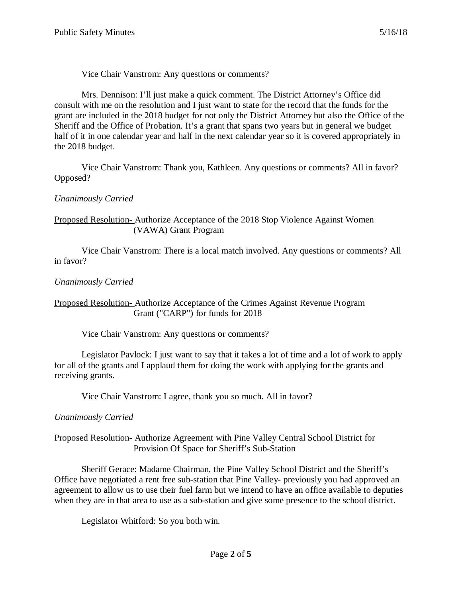Vice Chair Vanstrom: Any questions or comments?

Mrs. Dennison: I'll just make a quick comment. The District Attorney's Office did consult with me on the resolution and I just want to state for the record that the funds for the grant are included in the 2018 budget for not only the District Attorney but also the Office of the Sheriff and the Office of Probation. It's a grant that spans two years but in general we budget half of it in one calendar year and half in the next calendar year so it is covered appropriately in the 2018 budget.

Vice Chair Vanstrom: Thank you, Kathleen. Any questions or comments? All in favor? Opposed?

*Unanimously Carried*

### Proposed Resolution- Authorize Acceptance of the 2018 Stop Violence Against Women (VAWA) Grant Program

Vice Chair Vanstrom: There is a local match involved. Any questions or comments? All in favor?

## *Unanimously Carried*

### Proposed Resolution- Authorize Acceptance of the Crimes Against Revenue Program Grant ("CARP") for funds for 2018

Vice Chair Vanstrom: Any questions or comments?

Legislator Pavlock: I just want to say that it takes a lot of time and a lot of work to apply for all of the grants and I applaud them for doing the work with applying for the grants and receiving grants.

Vice Chair Vanstrom: I agree, thank you so much. All in favor?

## *Unanimously Carried*

### Proposed Resolution- Authorize Agreement with Pine Valley Central School District for Provision Of Space for Sheriff's Sub-Station

Sheriff Gerace: Madame Chairman, the Pine Valley School District and the Sheriff's Office have negotiated a rent free sub-station that Pine Valley- previously you had approved an agreement to allow us to use their fuel farm but we intend to have an office available to deputies when they are in that area to use as a sub-station and give some presence to the school district.

Legislator Whitford: So you both win.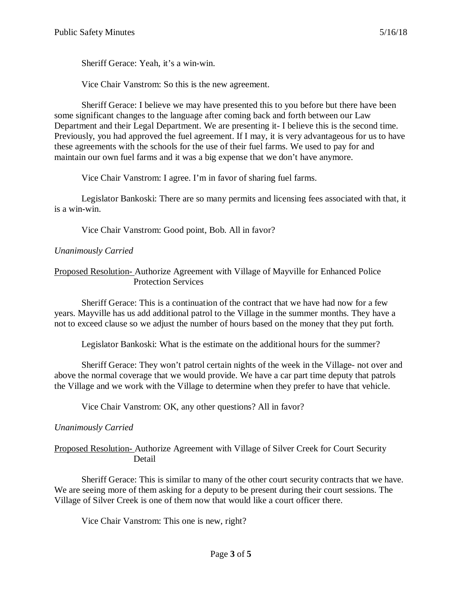Sheriff Gerace: Yeah, it's a win-win.

Vice Chair Vanstrom: So this is the new agreement.

Sheriff Gerace: I believe we may have presented this to you before but there have been some significant changes to the language after coming back and forth between our Law Department and their Legal Department. We are presenting it- I believe this is the second time. Previously, you had approved the fuel agreement. If I may, it is very advantageous for us to have these agreements with the schools for the use of their fuel farms. We used to pay for and maintain our own fuel farms and it was a big expense that we don't have anymore.

Vice Chair Vanstrom: I agree. I'm in favor of sharing fuel farms.

Legislator Bankoski: There are so many permits and licensing fees associated with that, it is a win-win.

Vice Chair Vanstrom: Good point, Bob. All in favor?

### *Unanimously Carried*

Proposed Resolution- Authorize Agreement with Village of Mayville for Enhanced Police Protection Services

Sheriff Gerace: This is a continuation of the contract that we have had now for a few years. Mayville has us add additional patrol to the Village in the summer months. They have a not to exceed clause so we adjust the number of hours based on the money that they put forth.

Legislator Bankoski: What is the estimate on the additional hours for the summer?

Sheriff Gerace: They won't patrol certain nights of the week in the Village- not over and above the normal coverage that we would provide. We have a car part time deputy that patrols the Village and we work with the Village to determine when they prefer to have that vehicle.

Vice Chair Vanstrom: OK, any other questions? All in favor?

## *Unanimously Carried*

Proposed Resolution- Authorize Agreement with Village of Silver Creek for Court Security Detail

Sheriff Gerace: This is similar to many of the other court security contracts that we have. We are seeing more of them asking for a deputy to be present during their court sessions. The Village of Silver Creek is one of them now that would like a court officer there.

Vice Chair Vanstrom: This one is new, right?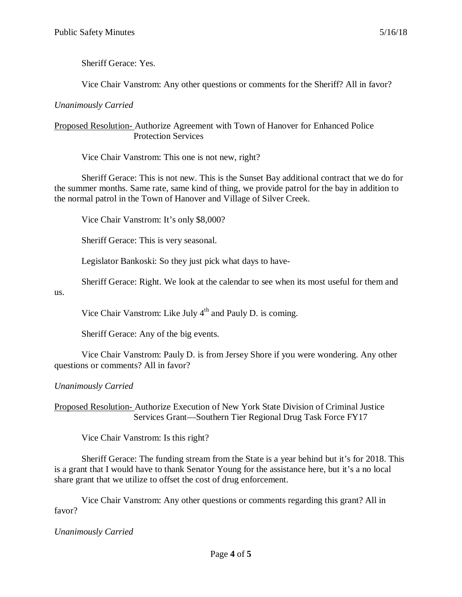Sheriff Gerace: Yes.

Vice Chair Vanstrom: Any other questions or comments for the Sheriff? All in favor?

#### *Unanimously Carried*

#### Proposed Resolution- Authorize Agreement with Town of Hanover for Enhanced Police Protection Services

Vice Chair Vanstrom: This one is not new, right?

Sheriff Gerace: This is not new. This is the Sunset Bay additional contract that we do for the summer months. Same rate, same kind of thing, we provide patrol for the bay in addition to the normal patrol in the Town of Hanover and Village of Silver Creek.

Vice Chair Vanstrom: It's only \$8,000?

Sheriff Gerace: This is very seasonal.

Legislator Bankoski: So they just pick what days to have-

Sheriff Gerace: Right. We look at the calendar to see when its most useful for them and

us.

Vice Chair Vanstrom: Like July  $4<sup>th</sup>$  and Pauly D. is coming.

Sheriff Gerace: Any of the big events.

Vice Chair Vanstrom: Pauly D. is from Jersey Shore if you were wondering. Any other questions or comments? All in favor?

## *Unanimously Carried*

Proposed Resolution- Authorize Execution of New York State Division of Criminal Justice Services Grant—Southern Tier Regional Drug Task Force FY17

Vice Chair Vanstrom: Is this right?

Sheriff Gerace: The funding stream from the State is a year behind but it's for 2018. This is a grant that I would have to thank Senator Young for the assistance here, but it's a no local share grant that we utilize to offset the cost of drug enforcement.

Vice Chair Vanstrom: Any other questions or comments regarding this grant? All in favor?

*Unanimously Carried*